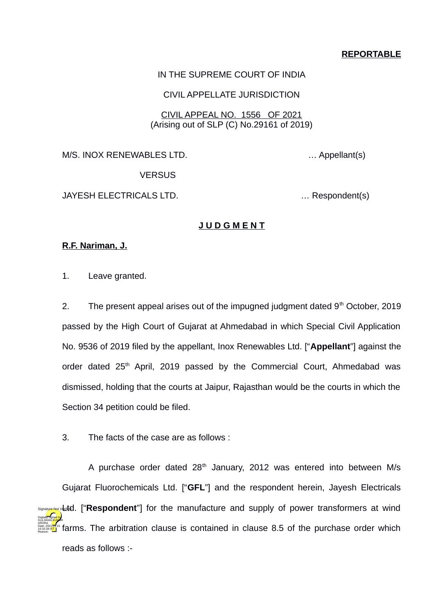# **REPORTABLE**

#### IN THE SUPREME COURT OF INDIA

#### CIVIL APPELLATE JURISDICTION

## CIVIL APPEAL NO. 1556 OF 2021 (Arising out of SLP (C) No.29161 of 2019)

M/S. INOX RENEWABLES LTD. … Appellant(s)

**VERSUS** 

JAYESH ELECTRICALS LTD. … Respondent(s)

### **J U D G M E N T**

#### **R.F. Nariman, J.**

1. Leave granted.

2. The present appeal arises out of the impugned judgment dated  $9<sup>th</sup>$  October, 2019 passed by the High Court of Gujarat at Ahmedabad in which Special Civil Application No. 9536 of 2019 filed by the appellant, Inox Renewables Ltd. ["**Appellant**"] against the order dated  $25<sup>th</sup>$  April, 2019 passed by the Commercial Court, Ahmedabad was dismissed, holding that the courts at Jaipur, Rajasthan would be the courts in which the Section 34 petition could be filed.

3. The facts of the case are as follows :

A purchase order dated  $28<sup>th</sup>$  January, 2012 was entered into between M/s Gujarat Fluorochemicals Ltd. ["**GFL**"] and the respondent herein, Jayesh Electricals signalyue Not Veat**d.** ["Respondent"] for the manufacture and supply of power transformers at wind farms. The arbitration clause is contained in clause 8.5 of the purchase order which Digitally signed by GÜLSHAN <mark>KUM</mark>AR ARORA Date: 2021.04.15 16:32:28 IST Reason:

reads as follows :-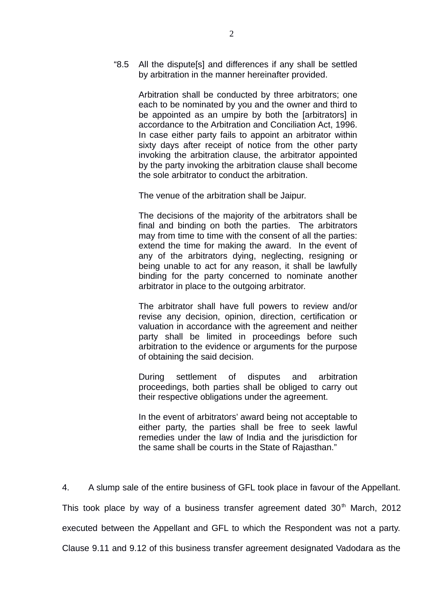"8.5 All the dispute[s] and differences if any shall be settled by arbitration in the manner hereinafter provided.

> Arbitration shall be conducted by three arbitrators; one each to be nominated by you and the owner and third to be appointed as an umpire by both the [arbitrators] in accordance to the Arbitration and Conciliation Act, 1996. In case either party fails to appoint an arbitrator within sixty days after receipt of notice from the other party invoking the arbitration clause, the arbitrator appointed by the party invoking the arbitration clause shall become the sole arbitrator to conduct the arbitration.

The venue of the arbitration shall be Jaipur.

The decisions of the majority of the arbitrators shall be final and binding on both the parties. The arbitrators may from time to time with the consent of all the parties: extend the time for making the award. In the event of any of the arbitrators dying, neglecting, resigning or being unable to act for any reason, it shall be lawfully binding for the party concerned to nominate another arbitrator in place to the outgoing arbitrator.

The arbitrator shall have full powers to review and/or revise any decision, opinion, direction, certification or valuation in accordance with the agreement and neither party shall be limited in proceedings before such arbitration to the evidence or arguments for the purpose of obtaining the said decision.

During settlement of disputes and arbitration proceedings, both parties shall be obliged to carry out their respective obligations under the agreement.

In the event of arbitrators' award being not acceptable to either party, the parties shall be free to seek lawful remedies under the law of India and the jurisdiction for the same shall be courts in the State of Rajasthan."

4. A slump sale of the entire business of GFL took place in favour of the Appellant. This took place by way of a business transfer agreement dated  $30<sup>th</sup>$  March, 2012 executed between the Appellant and GFL to which the Respondent was not a party. Clause 9.11 and 9.12 of this business transfer agreement designated Vadodara as the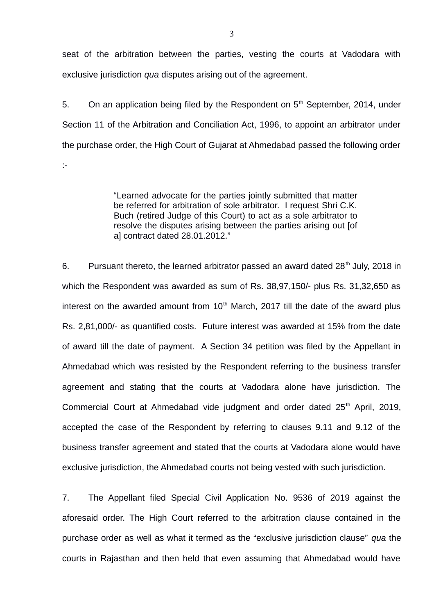seat of the arbitration between the parties, vesting the courts at Vadodara with exclusive jurisdiction *qua* disputes arising out of the agreement.

5. On an application being filed by the Respondent on  $5<sup>th</sup>$  September, 2014, under Section 11 of the Arbitration and Conciliation Act, 1996, to appoint an arbitrator under the purchase order, the High Court of Gujarat at Ahmedabad passed the following order :-

> "Learned advocate for the parties jointly submitted that matter be referred for arbitration of sole arbitrator. I request Shri C.K. Buch (retired Judge of this Court) to act as a sole arbitrator to resolve the disputes arising between the parties arising out [of a] contract dated 28.01.2012."

6. Pursuant thereto, the learned arbitrator passed an award dated  $28<sup>th</sup>$  July, 2018 in which the Respondent was awarded as sum of Rs. 38,97,150/- plus Rs. 31,32,650 as interest on the awarded amount from  $10<sup>th</sup>$  March, 2017 till the date of the award plus Rs. 2,81,000/- as quantified costs. Future interest was awarded at 15% from the date of award till the date of payment. A Section 34 petition was filed by the Appellant in Ahmedabad which was resisted by the Respondent referring to the business transfer agreement and stating that the courts at Vadodara alone have jurisdiction. The Commercial Court at Ahmedabad vide judgment and order dated  $25<sup>th</sup>$  April, 2019, accepted the case of the Respondent by referring to clauses 9.11 and 9.12 of the business transfer agreement and stated that the courts at Vadodara alone would have exclusive jurisdiction, the Ahmedabad courts not being vested with such jurisdiction.

7. The Appellant filed Special Civil Application No. 9536 of 2019 against the aforesaid order. The High Court referred to the arbitration clause contained in the purchase order as well as what it termed as the "exclusive jurisdiction clause" *qua* the courts in Rajasthan and then held that even assuming that Ahmedabad would have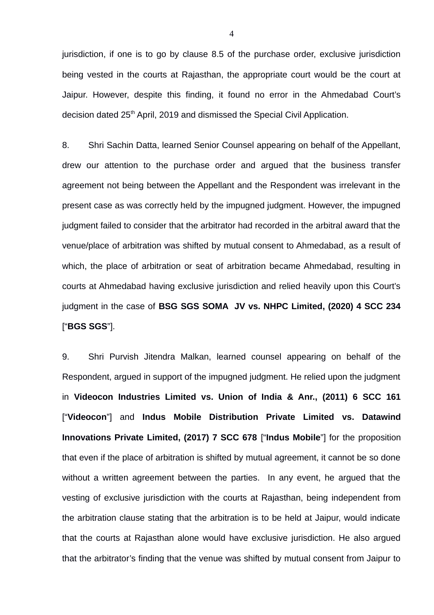jurisdiction, if one is to go by clause 8.5 of the purchase order, exclusive jurisdiction being vested in the courts at Rajasthan, the appropriate court would be the court at Jaipur. However, despite this finding, it found no error in the Ahmedabad Court's decision dated 25<sup>th</sup> April, 2019 and dismissed the Special Civil Application.

8. Shri Sachin Datta, learned Senior Counsel appearing on behalf of the Appellant, drew our attention to the purchase order and argued that the business transfer agreement not being between the Appellant and the Respondent was irrelevant in the present case as was correctly held by the impugned judgment. However, the impugned judgment failed to consider that the arbitrator had recorded in the arbitral award that the venue/place of arbitration was shifted by mutual consent to Ahmedabad, as a result of which, the place of arbitration or seat of arbitration became Ahmedabad, resulting in courts at Ahmedabad having exclusive jurisdiction and relied heavily upon this Court's judgment in the case of **BSG SGS SOMA JV vs. NHPC Limited, (2020) 4 SCC 234** ["**BGS SGS**"].

9. Shri Purvish Jitendra Malkan, learned counsel appearing on behalf of the Respondent, argued in support of the impugned judgment. He relied upon the judgment in **Videocon Industries Limited vs. Union of India & Anr., (2011) 6 SCC 161** ["**Videocon**"] and **Indus Mobile Distribution Private Limited vs. Datawind Innovations Private Limited, (2017) 7 SCC 678** ["**Indus Mobile**"] for the proposition that even if the place of arbitration is shifted by mutual agreement, it cannot be so done without a written agreement between the parties. In any event, he argued that the vesting of exclusive jurisdiction with the courts at Rajasthan, being independent from the arbitration clause stating that the arbitration is to be held at Jaipur, would indicate that the courts at Rajasthan alone would have exclusive jurisdiction. He also argued that the arbitrator's finding that the venue was shifted by mutual consent from Jaipur to

4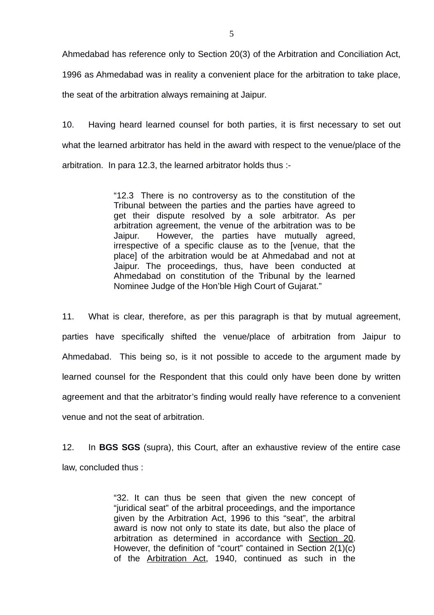Ahmedabad has reference only to Section 20(3) of the Arbitration and Conciliation Act, 1996 as Ahmedabad was in reality a convenient place for the arbitration to take place, the seat of the arbitration always remaining at Jaipur.

10. Having heard learned counsel for both parties, it is first necessary to set out what the learned arbitrator has held in the award with respect to the venue/place of the arbitration. In para 12.3, the learned arbitrator holds thus :-

> "12.3 There is no controversy as to the constitution of the Tribunal between the parties and the parties have agreed to get their dispute resolved by a sole arbitrator. As per arbitration agreement, the venue of the arbitration was to be Jaipur. However, the parties have mutually agreed, irrespective of a specific clause as to the [venue, that the place] of the arbitration would be at Ahmedabad and not at Jaipur. The proceedings, thus, have been conducted at Ahmedabad on constitution of the Tribunal by the learned Nominee Judge of the Hon'ble High Court of Gujarat."

11. What is clear, therefore, as per this paragraph is that by mutual agreement, parties have specifically shifted the venue/place of arbitration from Jaipur to Ahmedabad. This being so, is it not possible to accede to the argument made by learned counsel for the Respondent that this could only have been done by written agreement and that the arbitrator's finding would really have reference to a convenient venue and not the seat of arbitration.

12. In **BGS SGS** (supra), this Court, after an exhaustive review of the entire case law, concluded thus :

> "32. It can thus be seen that given the new concept of "juridical seat" of the arbitral proceedings, and the importance given by the Arbitration Act, 1996 to this "seat", the arbitral award is now not only to state its date, but also the place of arbitration as determined in accordance with [Section 20.](https://indiankanoon.org/doc/811701/) However, the definition of "court" contained in Section 2(1)(c) of the [Arbitration Act,](https://indiankanoon.org/doc/1052228/) 1940, continued as such in the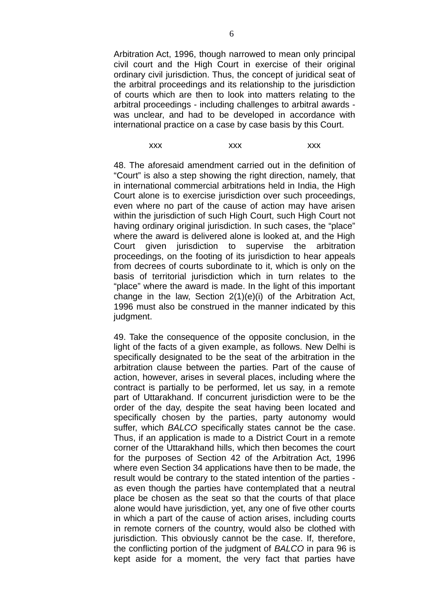Arbitration Act, 1996, though narrowed to mean only principal civil court and the High Court in exercise of their original ordinary civil jurisdiction. Thus, the concept of juridical seat of the arbitral proceedings and its relationship to the jurisdiction of courts which are then to look into matters relating to the arbitral proceedings - including challenges to arbitral awards was unclear, and had to be developed in accordance with international practice on a case by case basis by this Court.

# xxx xxx xxx xxx

48. The aforesaid amendment carried out in the definition of "Court" is also a step showing the right direction, namely, that in international commercial arbitrations held in India, the High Court alone is to exercise jurisdiction over such proceedings, even where no part of the cause of action may have arisen within the jurisdiction of such High Court, such High Court not having ordinary original jurisdiction. In such cases, the "place" where the award is delivered alone is looked at, and the High Court given jurisdiction to supervise the arbitration proceedings, on the footing of its jurisdiction to hear appeals from decrees of courts subordinate to it, which is only on the basis of territorial jurisdiction which in turn relates to the "place" where the award is made. In the light of this important change in the law, Section 2(1)(e)(i) of the Arbitration Act, 1996 must also be construed in the manner indicated by this judgment.

49. Take the consequence of the opposite conclusion, in the light of the facts of a given example, as follows. New Delhi is specifically designated to be the seat of the arbitration in the arbitration clause between the parties. Part of the cause of action, however, arises in several places, including where the contract is partially to be performed, let us say, in a remote part of Uttarakhand. If concurrent jurisdiction were to be the order of the day, despite the seat having been located and specifically chosen by the parties, party autonomy would suffer, which *BALCO* specifically states cannot be the case. Thus, if an application is made to a District Court in a remote corner of the Uttarakhand hills, which then becomes the court for the purposes of Section 42 of the Arbitration Act, 1996 where even Section 34 applications have then to be made, the result would be contrary to the stated intention of the parties as even though the parties have contemplated that a neutral place be chosen as the seat so that the courts of that place alone would have jurisdiction, yet, any one of five other courts in which a part of the cause of action arises, including courts in remote corners of the country, would also be clothed with jurisdiction. This obviously cannot be the case. If, therefore, the conflicting portion of the judgment of *BALCO* in para 96 is kept aside for a moment, the very fact that parties have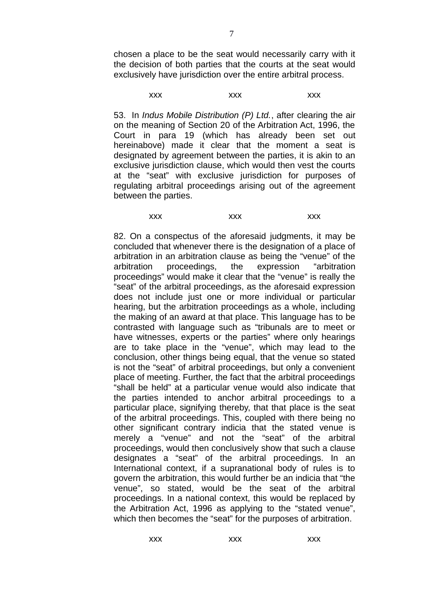chosen a place to be the seat would necessarily carry with it the decision of both parties that the courts at the seat would exclusively have jurisdiction over the entire arbitral process.

xxx xxx xxx xxx

53. In *Indus Mobile Distribution (P) Ltd.*, after clearing the air on the meaning of Section 20 of the Arbitration Act, 1996, the Court in para 19 (which has already been set out hereinabove) made it clear that the moment a seat is designated by agreement between the parties, it is akin to an exclusive jurisdiction clause, which would then vest the courts at the "seat" with exclusive jurisdiction for purposes of regulating arbitral proceedings arising out of the agreement between the parties.

xxx xxx xxx xxx

82. On a conspectus of the aforesaid judgments, it may be concluded that whenever there is the designation of a place of arbitration in an arbitration clause as being the "venue" of the arbitration proceedings, the expression "arbitration proceedings" would make it clear that the "venue" is really the "seat" of the arbitral proceedings, as the aforesaid expression does not include just one or more individual or particular hearing, but the arbitration proceedings as a whole, including the making of an award at that place. This language has to be contrasted with language such as "tribunals are to meet or have witnesses, experts or the parties" where only hearings are to take place in the "venue", which may lead to the conclusion, other things being equal, that the venue so stated is not the "seat" of arbitral proceedings, but only a convenient place of meeting. Further, the fact that the arbitral proceedings "shall be held" at a particular venue would also indicate that the parties intended to anchor arbitral proceedings to a particular place, signifying thereby, that that place is the seat of the arbitral proceedings. This, coupled with there being no other significant contrary indicia that the stated venue is merely a "venue" and not the "seat" of the arbitral proceedings, would then conclusively show that such a clause designates a "seat" of the arbitral proceedings. In an International context, if a supranational body of rules is to govern the arbitration, this would further be an indicia that "the venue", so stated, would be the seat of the arbitral proceedings. In a national context, this would be replaced by the Arbitration Act, 1996 as applying to the "stated venue", which then becomes the "seat" for the purposes of arbitration.

xxx xxx xxx xxx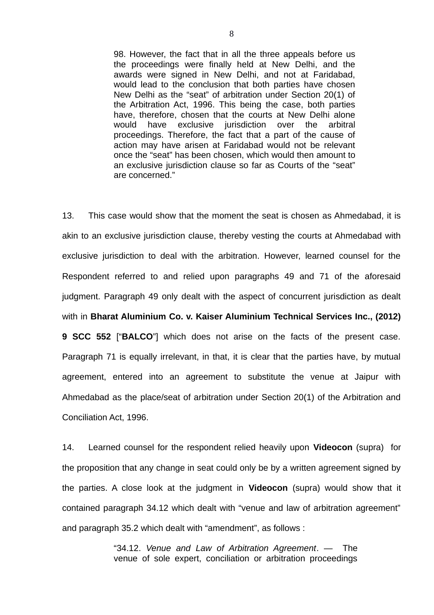98. However, the fact that in all the three appeals before us the proceedings were finally held at New Delhi, and the awards were signed in New Delhi, and not at Faridabad, would lead to the conclusion that both parties have chosen New Delhi as the "seat" of arbitration under Section 20(1) of the Arbitration Act, 1996. This being the case, both parties have, therefore, chosen that the courts at New Delhi alone would have exclusive jurisdiction over the arbitral proceedings. Therefore, the fact that a part of the cause of action may have arisen at Faridabad would not be relevant once the "seat" has been chosen, which would then amount to an exclusive jurisdiction clause so far as Courts of the "seat" are concerned."

13. This case would show that the moment the seat is chosen as Ahmedabad, it is akin to an exclusive jurisdiction clause, thereby vesting the courts at Ahmedabad with exclusive jurisdiction to deal with the arbitration. However, learned counsel for the Respondent referred to and relied upon paragraphs 49 and 71 of the aforesaid judgment. Paragraph 49 only dealt with the aspect of concurrent jurisdiction as dealt with in **Bharat Aluminium Co. v. Kaiser Aluminium Technical Services Inc., (2012) 9 SCC 552** ["**BALCO**"] which does not arise on the facts of the present case. Paragraph 71 is equally irrelevant, in that, it is clear that the parties have, by mutual agreement, entered into an agreement to substitute the venue at Jaipur with Ahmedabad as the place/seat of arbitration under Section 20(1) of the Arbitration and Conciliation Act, 1996.

14. Learned counsel for the respondent relied heavily upon **Videocon** (supra) for the proposition that any change in seat could only be by a written agreement signed by the parties. A close look at the judgment in **Videocon** (supra) would show that it contained paragraph 34.12 which dealt with "venue and law of arbitration agreement" and paragraph 35.2 which dealt with "amendment", as follows :

> "34.12. *Venue and Law of Arbitration Agreement*. — The venue of sole expert, conciliation or arbitration proceedings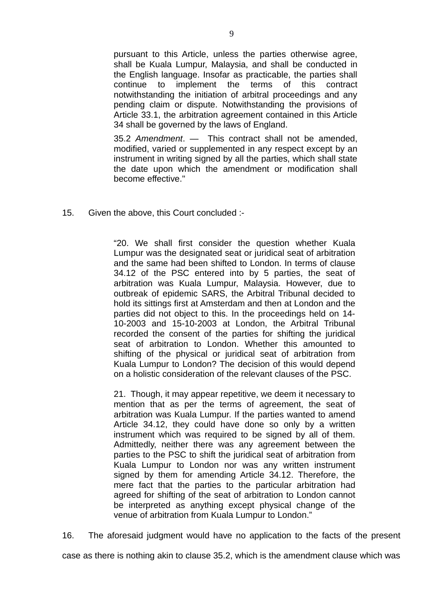pursuant to this Article, unless the parties otherwise agree, shall be Kuala Lumpur, Malaysia, and shall be conducted in the English language. Insofar as practicable, the parties shall continue to implement the terms of this contract notwithstanding the initiation of arbitral proceedings and any pending claim or dispute. Notwithstanding the provisions of Article 33.1, the arbitration agreement contained in this Article 34 shall be governed by the laws of England.

35.2 *Amendment*. — This contract shall not be amended, modified, varied or supplemented in any respect except by an instrument in writing signed by all the parties, which shall state the date upon which the amendment or modification shall become effective."

15. Given the above, this Court concluded :-

"20. We shall first consider the question whether Kuala Lumpur was the designated seat or juridical seat of arbitration and the same had been shifted to London. In terms of clause 34.12 of the PSC entered into by 5 parties, the seat of arbitration was Kuala Lumpur, Malaysia. However, due to outbreak of epidemic SARS, the Arbitral Tribunal decided to hold its sittings first at Amsterdam and then at London and the parties did not object to this. In the proceedings held on 14- 10-2003 and 15-10-2003 at London, the Arbitral Tribunal recorded the consent of the parties for shifting the juridical seat of arbitration to London. Whether this amounted to shifting of the physical or juridical seat of arbitration from Kuala Lumpur to London? The decision of this would depend on a holistic consideration of the relevant clauses of the PSC.

21. Though, it may appear repetitive, we deem it necessary to mention that as per the terms of agreement, the seat of arbitration was Kuala Lumpur. If the parties wanted to amend Article 34.12, they could have done so only by a written instrument which was required to be signed by all of them. Admittedly, neither there was any agreement between the parties to the PSC to shift the juridical seat of arbitration from Kuala Lumpur to London nor was any written instrument signed by them for amending Article 34.12. Therefore, the mere fact that the parties to the particular arbitration had agreed for shifting of the seat of arbitration to London cannot be interpreted as anything except physical change of the venue of arbitration from Kuala Lumpur to London."

16. The aforesaid judgment would have no application to the facts of the present

case as there is nothing akin to clause 35.2, which is the amendment clause which was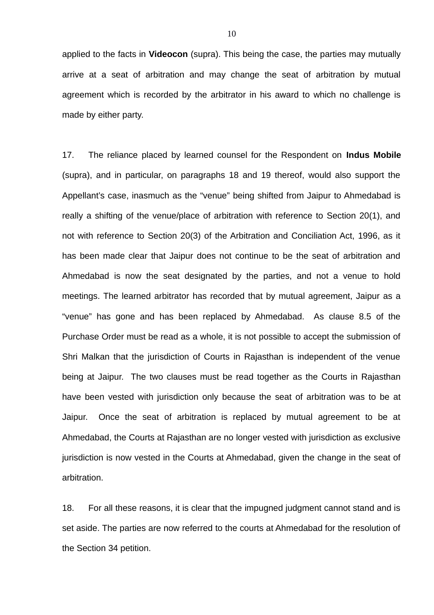applied to the facts in **Videocon** (supra). This being the case, the parties may mutually arrive at a seat of arbitration and may change the seat of arbitration by mutual agreement which is recorded by the arbitrator in his award to which no challenge is made by either party.

17. The reliance placed by learned counsel for the Respondent on **Indus Mobile** (supra), and in particular, on paragraphs 18 and 19 thereof, would also support the Appellant's case, inasmuch as the "venue" being shifted from Jaipur to Ahmedabad is really a shifting of the venue/place of arbitration with reference to Section 20(1), and not with reference to Section 20(3) of the Arbitration and Conciliation Act, 1996, as it has been made clear that Jaipur does not continue to be the seat of arbitration and Ahmedabad is now the seat designated by the parties, and not a venue to hold meetings. The learned arbitrator has recorded that by mutual agreement, Jaipur as a "venue" has gone and has been replaced by Ahmedabad. As clause 8.5 of the Purchase Order must be read as a whole, it is not possible to accept the submission of Shri Malkan that the jurisdiction of Courts in Rajasthan is independent of the venue being at Jaipur. The two clauses must be read together as the Courts in Rajasthan have been vested with jurisdiction only because the seat of arbitration was to be at Jaipur. Once the seat of arbitration is replaced by mutual agreement to be at Ahmedabad, the Courts at Rajasthan are no longer vested with jurisdiction as exclusive jurisdiction is now vested in the Courts at Ahmedabad, given the change in the seat of arbitration.

18. For all these reasons, it is clear that the impugned judgment cannot stand and is set aside. The parties are now referred to the courts at Ahmedabad for the resolution of the Section 34 petition.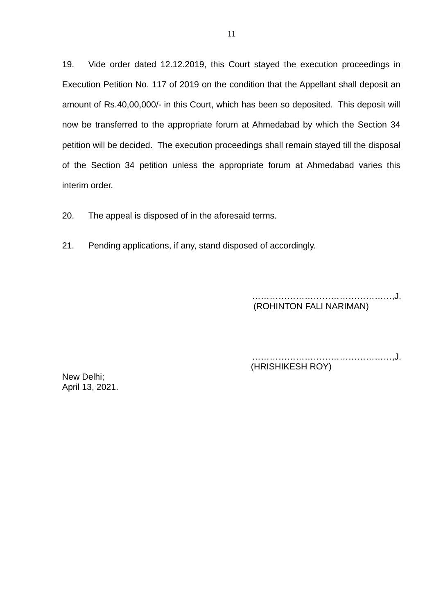19. Vide order dated 12.12.2019, this Court stayed the execution proceedings in Execution Petition No. 117 of 2019 on the condition that the Appellant shall deposit an amount of Rs.40,00,000/- in this Court, which has been so deposited. This deposit will now be transferred to the appropriate forum at Ahmedabad by which the Section 34 petition will be decided. The execution proceedings shall remain stayed till the disposal of the Section 34 petition unless the appropriate forum at Ahmedabad varies this interim order.

20. The appeal is disposed of in the aforesaid terms.

21. Pending applications, if any, stand disposed of accordingly.

…………………………………………,J. (ROHINTON FALI NARIMAN)

…………………………………………,J. (HRISHIKESH ROY)

New Delhi; April 13, 2021.